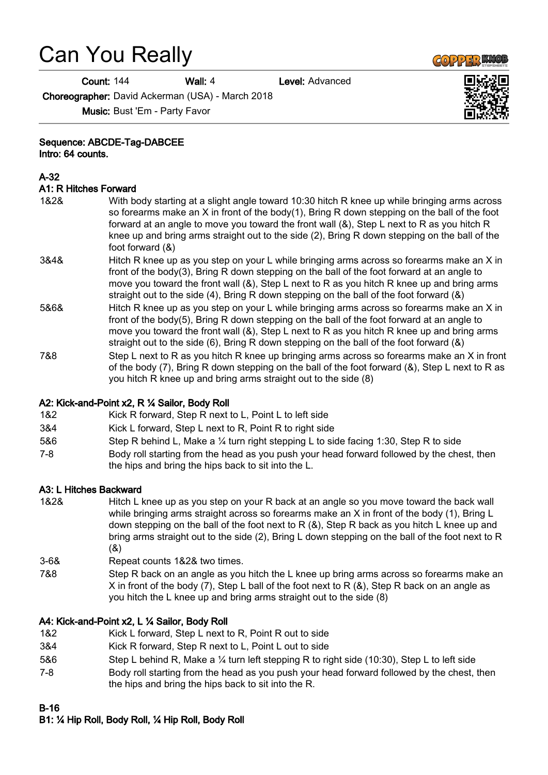# Can You Really

**Count: 144 Wall: 4 Level: Advanced** 

Choreographer: David Ackerman (USA) - March 2018

Music: Bust 'Em - Party Favor

#### Sequence: ABCDE-Tag-DABCEE

Intro: 64 counts.

#### A-32

#### A1: R Hitches Forward

1&2& With body starting at a slight angle toward 10:30 hitch R knee up while bringing arms across so forearms make an X in front of the body(1), Bring R down stepping on the ball of the foot forward at an angle to move you toward the front wall (&), Step L next to R as you hitch R knee up and bring arms straight out to the side (2), Bring R down stepping on the ball of the foot forward (&) 3&4& Hitch R knee up as you step on your L while bringing arms across so forearms make an X in front of the body(3), Bring R down stepping on the ball of the foot forward at an angle to move you toward the front wall (&), Step L next to R as you hitch R knee up and bring arms straight out to the side (4), Bring R down stepping on the ball of the foot forward (&) 5&6& Hitch R knee up as you step on your L while bringing arms across so forearms make an X in front of the body(5), Bring R down stepping on the ball of the foot forward at an angle to move you toward the front wall (&), Step L next to R as you hitch R knee up and bring arms straight out to the side (6), Bring R down stepping on the ball of the foot forward (&) 7&8 Step L next to R as you hitch R knee up bringing arms across so forearms make an X in front of the body (7), Bring R down stepping on the ball of the foot forward (&), Step L next to R as you hitch R knee up and bring arms straight out to the side (8)

#### A2: Kick-and-Point x2, R ¼ Sailor, Body Roll

- 1&2 Kick R forward, Step R next to L, Point L to left side
- 3&4 Kick L forward, Step L next to R, Point R to right side
- 5&6 Step R behind L, Make a ¼ turn right stepping L to side facing 1:30, Step R to side
- 7-8 Body roll starting from the head as you push your head forward followed by the chest, then the hips and bring the hips back to sit into the L.

#### A3: L Hitches Backward

1&2& Hitch L knee up as you step on your R back at an angle so you move toward the back wall while bringing arms straight across so forearms make an X in front of the body (1), Bring L down stepping on the ball of the foot next to R  $(8)$ , Step R back as you hitch L knee up and bring arms straight out to the side (2), Bring L down stepping on the ball of the foot next to R (&)

3-6& Repeat counts 1&2& two times.

7&8 Step R back on an angle as you hitch the L knee up bring arms across so forearms make an X in front of the body (7), Step L ball of the foot next to R (&), Step R back on an angle as you hitch the L knee up and bring arms straight out to the side (8)

#### A4: Kick-and-Point x2, L ¼ Sailor, Body Roll

- 1&2 Kick L forward, Step L next to R, Point R out to side
- 3&4 Kick R forward, Step R next to L, Point L out to side
- 5&6 Step L behind R, Make a ¼ turn left stepping R to right side (10:30), Step L to left side
- 7-8 Body roll starting from the head as you push your head forward followed by the chest, then the hips and bring the hips back to sit into the R.

#### B-16

# B1: ¼ Hip Roll, Body Roll, ¼ Hip Roll, Body Roll



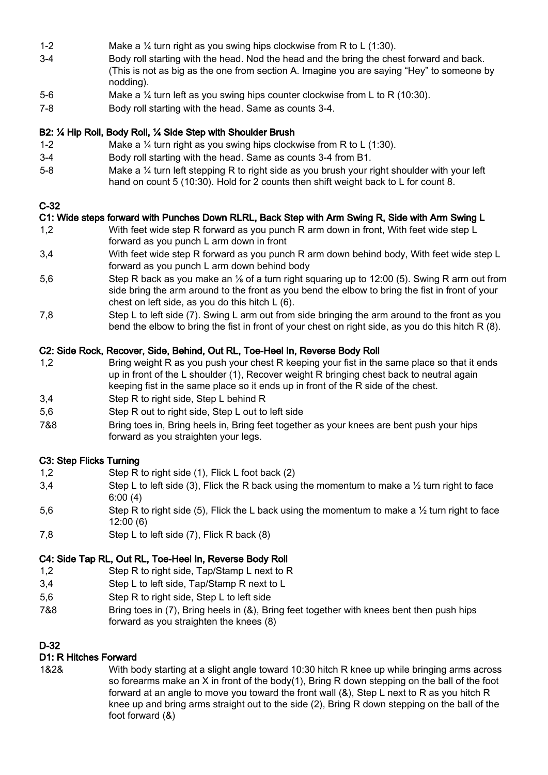- 1-2 Make a ¼ turn right as you swing hips clockwise from R to L (1:30).
- 3-4 Body roll starting with the head. Nod the head and the bring the chest forward and back. (This is not as big as the one from section A. Imagine you are saying "Hey" to someone by nodding).
- 5-6 Make a ¼ turn left as you swing hips counter clockwise from L to R (10:30).
- 7-8 Body roll starting with the head. Same as counts 3-4.

## B2: ¼ Hip Roll, Body Roll, ¼ Side Step with Shoulder Brush

- 1-2 Make a ¼ turn right as you swing hips clockwise from R to L (1:30).
- 3-4 Body roll starting with the head. Same as counts 3-4 from B1.
- 5-8 Make a ¼ turn left stepping R to right side as you brush your right shoulder with your left hand on count 5 (10:30). Hold for 2 counts then shift weight back to L for count 8.

## C-32

## C1: Wide steps forward with Punches Down RLRL, Back Step with Arm Swing R, Side with Arm Swing L

- 1,2 With feet wide step R forward as you punch R arm down in front, With feet wide step L forward as you punch L arm down in front
- 3,4 With feet wide step R forward as you punch R arm down behind body, With feet wide step L forward as you punch L arm down behind body
- 5.6 Step R back as you make an <sup>1/</sup><sub>8</sub> of a turn right squaring up to 12:00 (5). Swing R arm out from side bring the arm around to the front as you bend the elbow to bring the fist in front of your chest on left side, as you do this hitch L (6).
- 7,8 Step L to left side (7). Swing L arm out from side bringing the arm around to the front as you bend the elbow to bring the fist in front of your chest on right side, as you do this hitch R (8).

## C2: Side Rock, Recover, Side, Behind, Out RL, Toe-Heel In, Reverse Body Roll

- 1,2 Bring weight R as you push your chest R keeping your fist in the same place so that it ends up in front of the L shoulder (1), Recover weight R bringing chest back to neutral again keeping fist in the same place so it ends up in front of the R side of the chest.
- 3,4 Step R to right side, Step L behind R
- 5,6 Step R out to right side, Step L out to left side
- 7&8 Bring toes in, Bring heels in, Bring feet together as your knees are bent push your hips forward as you straighten your legs.

## C3: Step Flicks Turning

- 1,2 Step R to right side (1), Flick L foot back (2)
- 3.4 Step L to left side (3), Flick the R back using the momentum to make a  $\frac{1}{2}$  turn right to face 6:00 (4)
- 5.6 Step R to right side (5). Flick the L back using the momentum to make a  $\frac{1}{2}$  turn right to face 12:00 (6)
- 7,8 Step L to left side (7), Flick R back (8)

## C4: Side Tap RL, Out RL, Toe-Heel In, Reverse Body Roll

- 1.2 Step R to right side, Tap/Stamp L next to R
- 3,4 Step L to left side, Tap/Stamp R next to L
- 5,6 Step R to right side, Step L to left side
- 7&8 Bring toes in (7), Bring heels in (&), Bring feet together with knees bent then push hips forward as you straighten the knees (8)

## D-32

## D1: R Hitches Forward

1&2& With body starting at a slight angle toward 10:30 hitch R knee up while bringing arms across so forearms make an  $X$  in front of the body(1), Bring R down stepping on the ball of the foot forward at an angle to move you toward the front wall (&), Step L next to R as you hitch R knee up and bring arms straight out to the side (2), Bring R down stepping on the ball of the foot forward (&)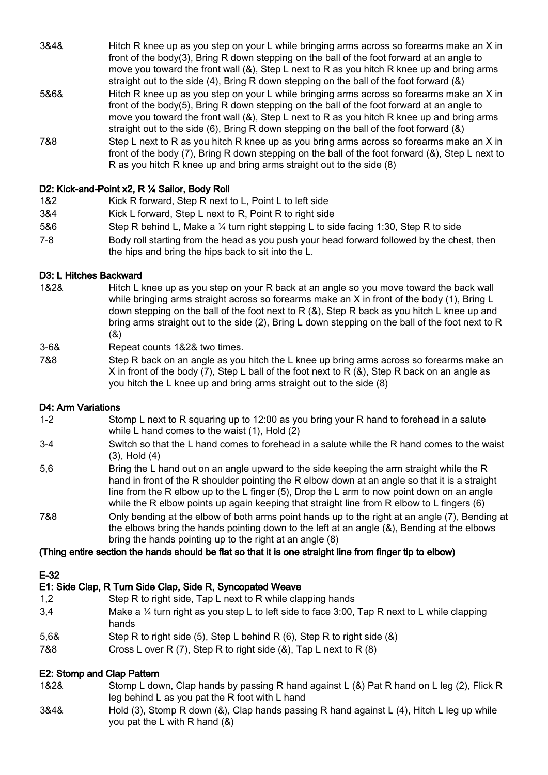| 3&4& | Hitch R knee up as you step on your L while bringing arms across so forearms make an X in<br>front of the body(3), Bring R down stepping on the ball of the foot forward at an angle to<br>move you toward the front wall (&), Step L next to R as you hitch R knee up and bring arms<br>straight out to the side $(4)$ , Bring R down stepping on the ball of the foot forward $(8)$ |
|------|---------------------------------------------------------------------------------------------------------------------------------------------------------------------------------------------------------------------------------------------------------------------------------------------------------------------------------------------------------------------------------------|
| 5&6& | Hitch R knee up as you step on your L while bringing arms across so forearms make an X in<br>front of the body(5), Bring R down stepping on the ball of the foot forward at an angle to<br>move you toward the front wall (&), Step L next to R as you hitch R knee up and bring arms<br>straight out to the side (6), Bring R down stepping on the ball of the foot forward $(8)$    |
| 7&8  | Step L next to R as you hitch R knee up as you bring arms across so forearms make an X in<br>front of the body (7), Bring R down stepping on the ball of the foot forward (&), Step L next to<br>R as you hitch R knee up and bring arms straight out to the side (8)                                                                                                                 |

## D2: Kick-and-Point x2, R ¼ Sailor, Body Roll

- 1&2 Kick R forward, Step R next to L, Point L to left side
- 3&4 Kick L forward, Step L next to R, Point R to right side
- 5&6 Step R behind L, Make a ¼ turn right stepping L to side facing 1:30, Step R to side
- 7-8 Body roll starting from the head as you push your head forward followed by the chest, then the hips and bring the hips back to sit into the L.

#### D3: L Hitches Backward

- 1&2& Hitch L knee up as you step on your R back at an angle so you move toward the back wall while bringing arms straight across so forearms make an X in front of the body (1). Bring L down stepping on the ball of the foot next to R (&), Step R back as you hitch L knee up and bring arms straight out to the side (2), Bring L down stepping on the ball of the foot next to R (&)
- 3-6& Repeat counts 1&2& two times.
- 7&8 Step R back on an angle as you hitch the L knee up bring arms across so forearms make an X in front of the body (7), Step L ball of the foot next to R  $(8)$ , Step R back on an angle as you hitch the L knee up and bring arms straight out to the side (8)

#### D4: Arm Variations

- 1-2 Stomp L next to R squaring up to 12:00 as you bring your R hand to forehead in a salute while L hand comes to the waist (1), Hold (2)
- 3-4 Switch so that the L hand comes to forehead in a salute while the R hand comes to the waist (3), Hold (4)
- 5,6 Bring the L hand out on an angle upward to the side keeping the arm straight while the R hand in front of the R shoulder pointing the R elbow down at an angle so that it is a straight line from the R elbow up to the L finger (5), Drop the L arm to now point down on an angle while the R elbow points up again keeping that straight line from R elbow to L fingers (6)
- 7&8 Only bending at the elbow of both arms point hands up to the right at an angle (7), Bending at the elbows bring the hands pointing down to the left at an angle (&), Bending at the elbows bring the hands pointing up to the right at an angle (8)

#### (Thing entire section the hands should be flat so that it is one straight line from finger tip to elbow)

## E-32

# E1: Side Clap, R Turn Side Clap, Side R, Syncopated Weave

- 1,2 Step R to right side, Tap L next to R while clapping hands
- 3,4 Make a ¼ turn right as you step L to left side to face 3:00, Tap R next to L while clapping hands
- 5,6& Step R to right side (5), Step L behind R (6), Step R to right side (&)
- 7&8 Cross L over R (7), Step R to right side (&), Tap L next to R (8)

# E2: Stomp and Clap Pattern

- 1&2& Stomp L down, Clap hands by passing R hand against L (&) Pat R hand on L leg (2), Flick R leg behind L as you pat the R foot with L hand
- 3&4& Hold (3), Stomp R down (&), Clap hands passing R hand against L (4), Hitch L leg up while you pat the L with R hand (&)